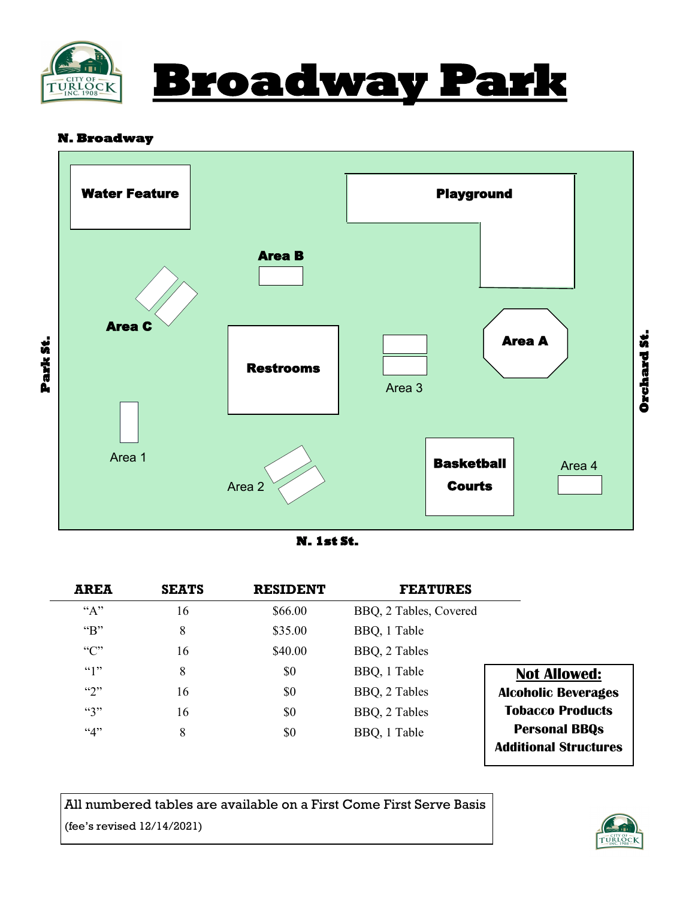



### **N. Broadway**





|                              | <b>FEATURES</b>        | <b>RESIDENT</b> | <b>SEATS</b> | AREA                      |
|------------------------------|------------------------|-----------------|--------------|---------------------------|
|                              | BBQ, 2 Tables, Covered | \$66.00         | 16           | $A$ <sup>*</sup>          |
|                              | BBQ, 1 Table           | \$35.00         | 8            | $\mathbf{G}$ <sup>*</sup> |
|                              | BBQ, 2 Tables          | \$40.00         | 16           | C                         |
| <b>Not Allowed:</b>          | BBQ, 1 Table           | \$0             | 8            | (4)                       |
| <b>Alcoholic Beverages</b>   | BBQ, 2 Tables          | \$0             | 16           | $\mathfrak{c}_2$          |
| <b>Tobacco Products</b>      | BBQ, 2 Tables          | \$0             | 16           | $\mathfrak{g}_3$          |
| <b>Personal BBQs</b>         | BBQ, 1 Table           | \$0             | 8            | 4,4                       |
| <b>Additional Structures</b> |                        |                 |              |                           |

All numbered tables are available on a First Come First Serve Basis (fee's revised 12/14/2021)